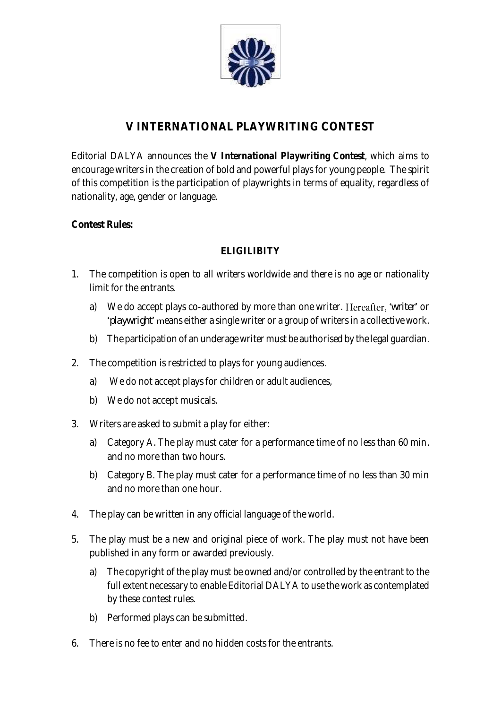

# **V INTERNATIONAL PLAYWRITING CONTEST**

Editorial DALYA announces the *V International Playwriting Contest*, which aims to encourage writers in the creation of bold and powerful plays for young people. The spirit of this competition is the participation of playwrights in terms of equality, regardless of nationality, age, gender or language.

**Contest Rules:**

## **ELIGILIBITY**

- 1. The competition is open to all writers worldwide and there is no age or nationality limit for the entrants.
	- a) We do accept plays co-authored by more than one writer. Hereafter, 'writer' or '*playwright*' means either a single writer or a group of writers in a collective work.
	- b) The participation of an underage writer must be authorised by the legal guardian.
- 2. The competition is restricted to plays for young audiences.
	- a) We do not accept plays for children or adult audiences,
	- b) We do not accept musicals.
- 3. Writers are asked to submit a play for either:
	- a) Category A. The play must cater for a performance time of no less than 60 min. and no more than two hours.
	- b) Category B. The play must cater for a performance time of no less than 30 min and no more than one hour.
- 4. The play can be written in any official language of the world.
- 5. The play must be a new and original piece of work. The play must not have been published in any form or awarded previously.
	- a) The copyright of the play must be owned and/or controlled by the entrant to the full extent necessary to enable Editorial DALYA to use the work as contemplated by these contest rules.
	- b) Performed plays can be submitted.
- 6. There is no fee to enter and no hidden costs for the entrants.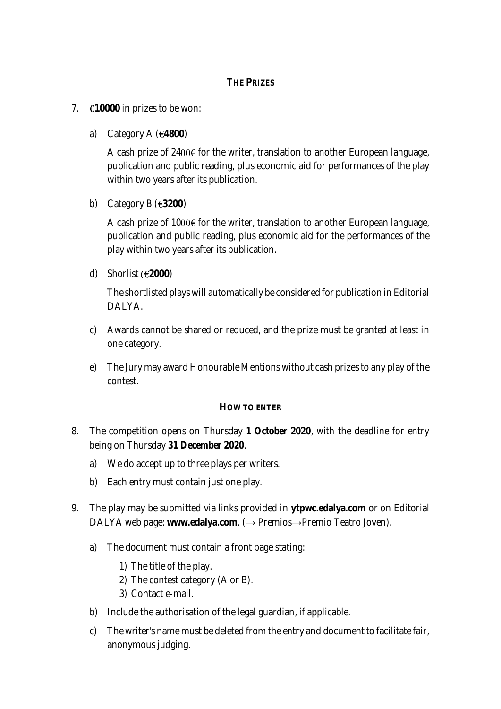### **THE PRIZES**

- 7.  $\epsilon$ 10000 in prizes to be won:
	- a) Category A  $(64800)$

A cash prize of  $2400 \epsilon$  for the writer, translation to another European language, publication and public reading, plus economic aid for performances of the play within two years after its publication.

b) Category B  $(63200)$ 

A cash prize of 1000 $\epsilon$  for the writer, translation to another European language, publication and public reading, plus economic aid for the performances of the play within two years after its publication.

d) Shorlist **2000**)

The shortlisted plays will automatically be considered for publication in Editorial DALYA.

- c) Awards cannot be shared or reduced, and the prize must be granted at least in one category.
- e) The Jury may award Honourable Mentions without cash prizes to any play of the contest.

#### **HOW TO ENTER**

- 8. The competition opens on Thursday *1 October 2020*, with the deadline for entry being on Thursday *31 December 2020*.
	- a) We do accept up to three plays per writers.
	- b) Each entry must contain just one play.
- 9. The play may be submitted via links provided in **ytpwc.edalya.com** or on Editorial DALYA web page: www.edalya.com. (→ Premios→Premio Teatro Joven).
	- a) The document must contain a front page stating:
		- 1) The title of the play.
		- 2) The contest category (A or B).
		- 3) Contact e-mail.
	- b) Include the authorisation of the legal guardian, if applicable.
	- c) The writer's name must be deleted from the entry and document to facilitate fair, anonymous judging.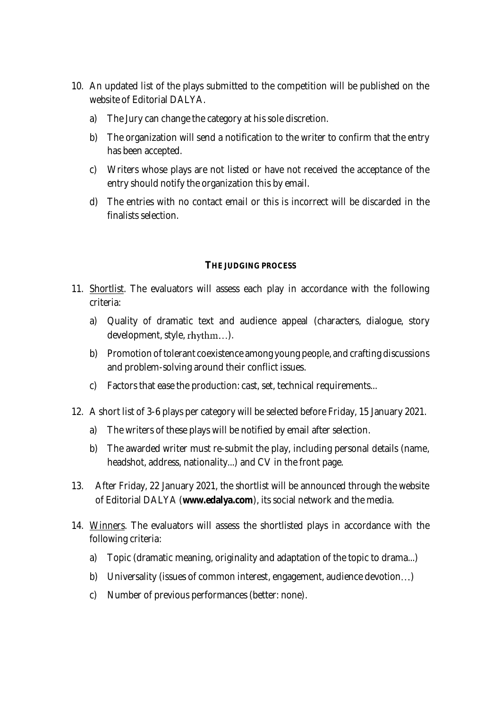- 10. An updated list of the plays submitted to the competition will be published on the website of Editorial DALYA.
	- a) The Jury can change the category at his sole discretion.
	- b) The organization will send a notification to the writer to confirm that the entry has been accepted.
	- c) Writers whose plays are not listed or have not received the acceptance of the entry should notify the organization this by email.
	- d) The entries with no contact email or this is incorrect will be discarded in the finalists selection.

#### **THE JUDGING PROCESS**

- 11. Shortlist. The evaluators will assess each play in accordance with the following criteria:
	- a) Quality of dramatic text and audience appeal (characters, dialogue, story development, style, rhythm...).
	- b) Promotion of tolerant coexistence among young people, and crafting discussions and problem-solving around their conflict issues.
	- c) Factors that ease the production: cast, set, technical requirements...
- 12. A short list of 3-6 plays per category will be selected before Friday, 15 January 2021.
	- a) The writers of these plays will be notified by email after selection.
	- b) The awarded writer must re-submit the play, including personal details (name, headshot, address, nationality...) and CV in the front page.
- 13. After Friday, 22 January 2021, the shortlist will be announced through the website of Editorial DALYA (**www.edalya.com**), its social network and the media.
- 14. Winners. The evaluators will assess the shortlisted plays in accordance with the following criteria:
	- a) Topic (dramatic meaning, originality and adaptation of the topic to drama...)
	- b) Universality (issues of common interest, engagement, audience devotion...)
	- c) Number of previous performances (better: none).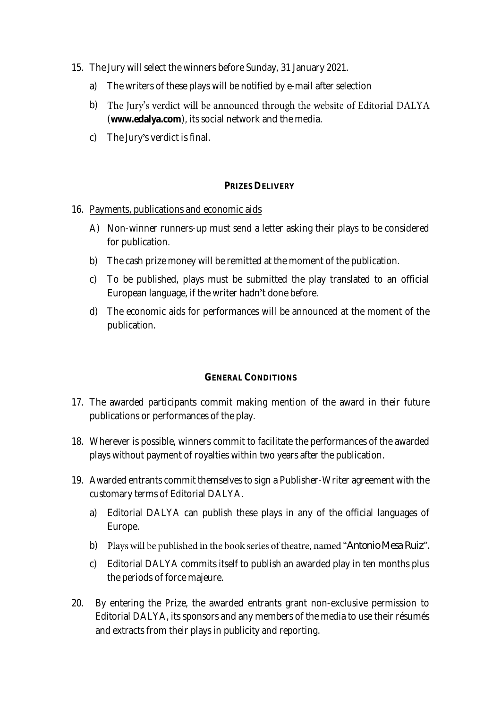- 15. The Jury will select the winners before Sunday, 31 January 2021.
	- a) The writers of these plays will be notified by e-mail after selection
	- b) The Jury's verdict will be announced through the website of Editorial DALYA (**www.edalya.com**), its social network and the media.
	- c) The Jury's verdict is final.

#### **PRIZES DELIVERY**

- 16. Payments, publications and economic aids
	- A) Non-winner runners-up must send a letter asking their plays to be considered for publication.
	- b) The cash prize money will be remitted at the moment of the publication.
	- c) To be published, plays must be submitted the play translated to an official European language, if the writer hadn't done before.
	- d) The economic aids for performances will be announced at the moment of the publication.

#### **GENERAL CONDITIONS**

- 17. The awarded participants commit making mention of the award in their future publications or performances of the play.
- 18. Wherever is possible, winners commit to facilitate the performances of the awarded plays without payment of royalties within two years after the publication.
- 19. Awarded entrants commit themselves to sign a Publisher-Writer agreement with the customary terms of Editorial DALYA.
	- a) Editorial DALYA can publish these plays in any of the official languages of Europe.
	- b) Plays will be published in the book series of theatre, named "Antonio Mesa Ruiz".
	- c) Editorial DALYA commits itself to publish an awarded play in ten months plus the periods of force majeure.
- 20. By entering the Prize, the awarded entrants grant non-exclusive permission to Editorial DALYA, its sponsors and any members of the media to use their résumés and extracts from their plays in publicity and reporting.